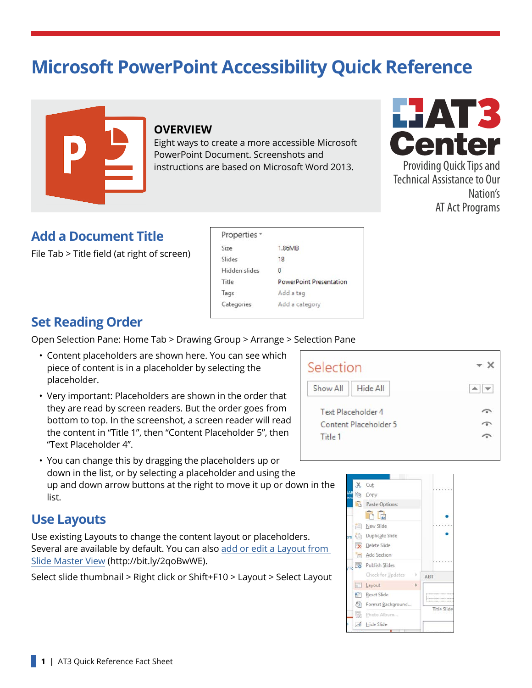# **Microsoft PowerPoint Accessibility Quick Reference**



#### **OVERVIEW**

Eight ways to create a more accessible Microsoft PowerPoint Document. Screenshots and instructions are based on Microsoft Word 2013.



Providing Quick Tips and Technical Assistance to Our Nation's AT Act Programs

#### **Add a Document Title**

File Tab > Title field (at right of screen)

| Properties *  |                                |  |
|---------------|--------------------------------|--|
| Size          | 1.86MB                         |  |
| Slides        | 18                             |  |
| Hidden slides | 0                              |  |
| Title         | <b>PowerPoint Presentation</b> |  |
| Tags          | Add a tag                      |  |
| Categories    | Add a category                 |  |

#### **Set Reading Order**

Open Selection Pane: Home Tab > Drawing Group > Arrange > Selection Pane

- Content placeholders are shown here. You can see which piece of content is in a placeholder by selecting the placeholder.
- Very important: Placeholders are shown in the order that they are read by screen readers. But the order goes from bottom to top. In the screenshot, a screen reader will read the content in "Title 1", then "Content Placeholder 5", then "Text Placeholder 4".
- You can change this by dragging the placeholders up or down in the list, or by selecting a placeholder and using the up and down arrow buttons at the right to move it up or down in the list.

#### **Use Layouts**

Use existing Layouts to change the content layout or placeholders. Several are available by default. You can also [add or edit a Layout from](https://support.office.com/en-US/article/What-is-a-slide-master-B9ABB2A0-7AEF-4257-A14E-4329C904DA54)  [Slide Master View](https://support.office.com/en-US/article/What-is-a-slide-master-B9ABB2A0-7AEF-4257-A14E-4329C904DA54) (http://bit.ly/2qoBwWE).

Select slide thumbnail > Right click or Shift+F10 > Layout > Select Layout

| Selection                 |          |  |
|---------------------------|----------|--|
| <b>Show All</b>           | Hide All |  |
| <b>Text Placeholder 4</b> |          |  |
| Content Placeholder 5     |          |  |
|                           |          |  |

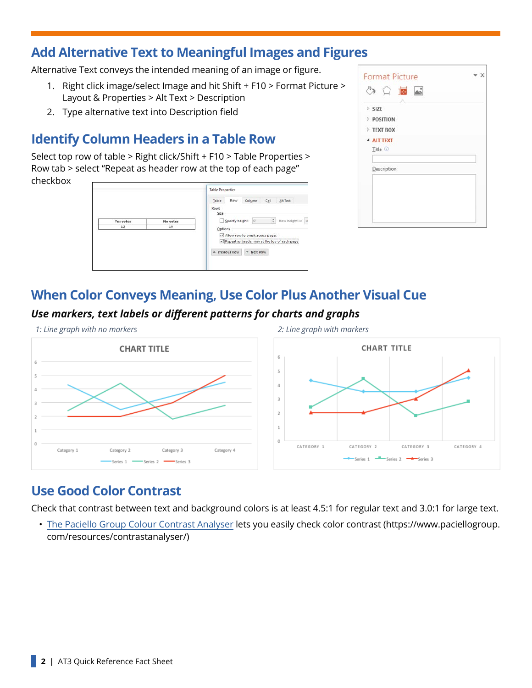#### **Add Alternative Text to Meaningful Images and Figures**

Alternative Text conveys the intended meaning of an image or figure.

- 1. Right click image/select Image and hit Shift + F10 > Format Picture > Layout & Properties > Alt Text > Description
- 2. Type alternative text into Description field

### **Identify Column Headers in a Table Row**

Select top row of table > Right click/Shift + F10 > Table Properties > Row tab > select "Repeat as header row at the top of each page" checkbox

|          | <b>Table Properties</b>                                     |  |
|----------|-------------------------------------------------------------|--|
|          | Row<br>Column<br>Table<br>Cell<br>Alt Text                  |  |
|          | Rows<br>Size                                                |  |
| No votes | $\frac{a}{a}$<br>Specify height:<br>lo:<br>Row height is: A |  |
| 19       | Options                                                     |  |
|          | Allow row to break across pages                             |  |
|          | Repeat as header row at the top of each page                |  |
|          | A Previous Row<br>Wext Row                                  |  |
|          |                                                             |  |
|          |                                                             |  |

| DSIZE |                    |  |
|-------|--------------------|--|
|       | <b>POSITION</b>    |  |
|       | <b>FIEXT BOX</b>   |  |
|       | <b>4 ALT TEXT</b>  |  |
|       | Title <sup>1</sup> |  |
|       |                    |  |
|       | Description        |  |
|       |                    |  |
|       |                    |  |

#### **When Color Conveys Meaning, Use Color Plus Another Visual Cue**

Category 4

*Use markers, text labels or different patterns for charts and graphs*

Category 3

Series 1 -Series 2 -Series 3





#### **Use Good Color Contrast**

Category 2

Category 1

Check that contrast between text and background colors is at least 4.5:1 for regular text and 3.0:1 for large text.

• [The Paciello Group Colour Contrast Analyser](https://www.paciellogroup.com/resources/contrastanalyser/) lets you easily check color contrast (https://www.paciellogroup. com/resources/contrastanalyser/)